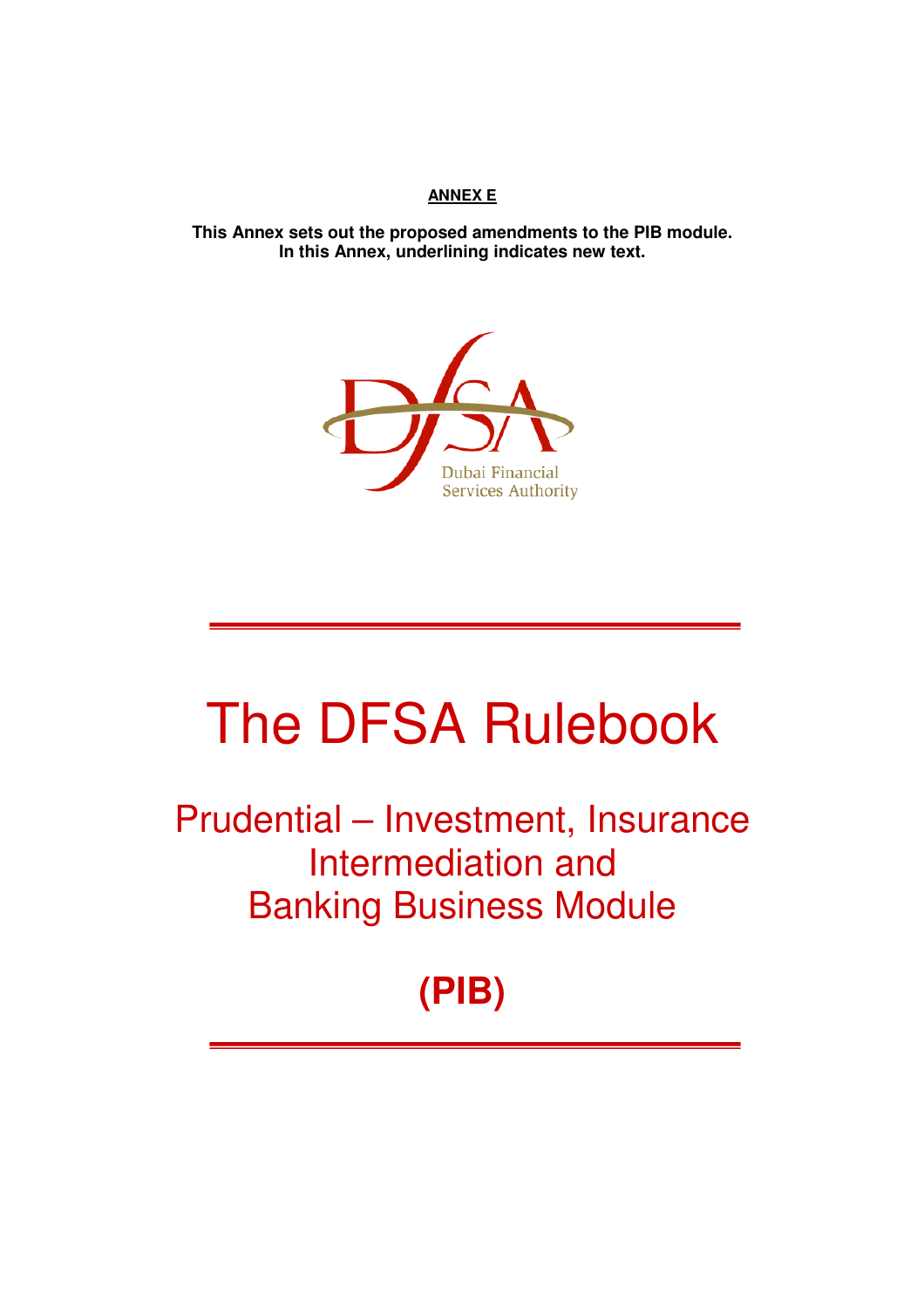### **ANNEX E**

**This Annex sets out the proposed amendments to the PIB module. In this Annex, underlining indicates new text.** 



# The DFSA Rulebook

Prudential – Investment, Insurance Intermediation and Banking Business Module

# **(PIB)**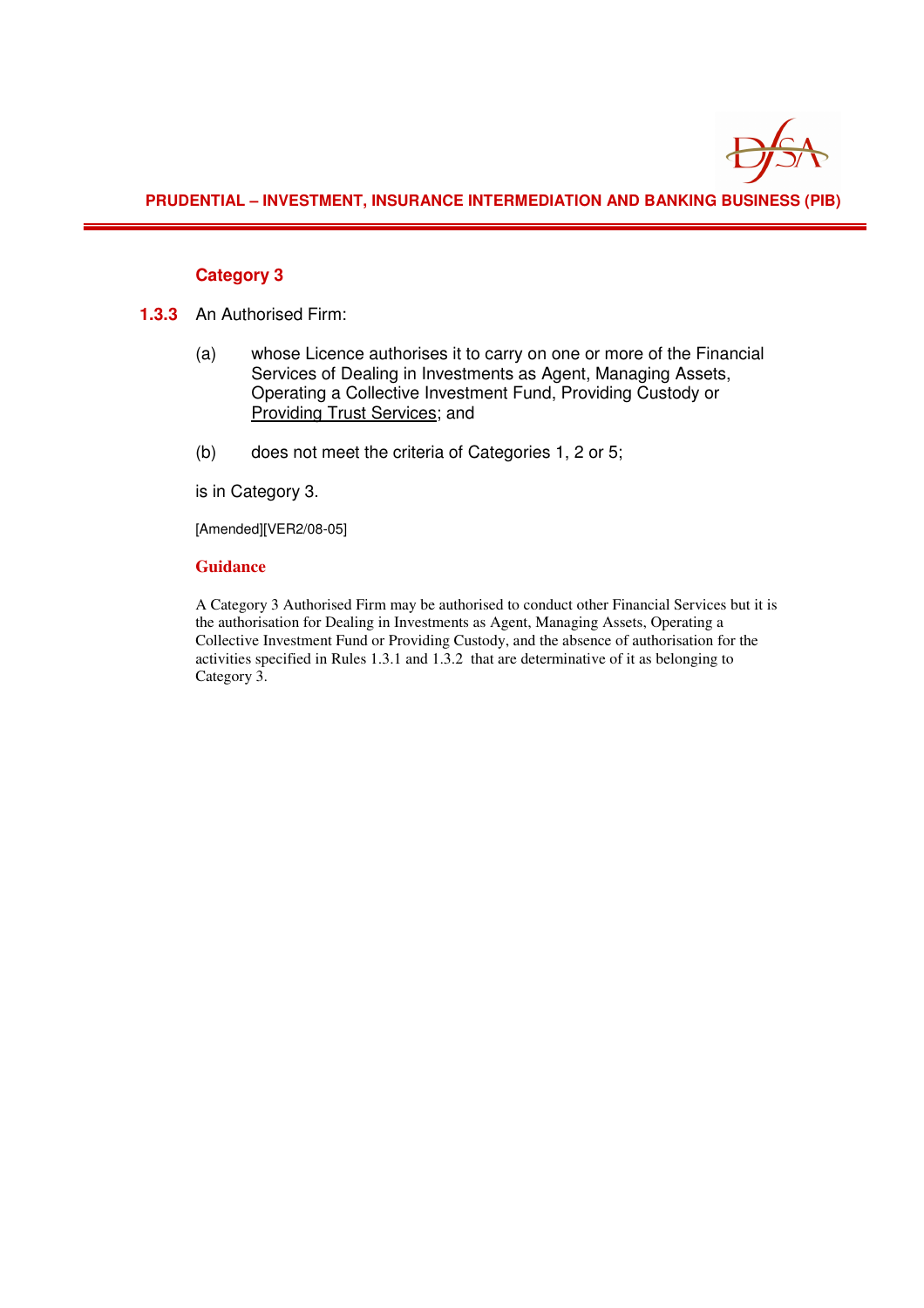

**PRUDENTIAL – INVESTMENT, INSURANCE INTERMEDIATION AND BANKING BUSINESS (PIB)** 

#### **Category 3**

- **1.3.3** An Authorised Firm:
	- (a) whose Licence authorises it to carry on one or more of the Financial Services of Dealing in Investments as Agent, Managing Assets, Operating a Collective Investment Fund, Providing Custody or Providing Trust Services; and
	- (b) does not meet the criteria of Categories 1, 2 or 5;

is in Category 3.

[Amended][VER2/08-05]

#### **Guidance**

A Category 3 Authorised Firm may be authorised to conduct other Financial Services but it is the authorisation for Dealing in Investments as Agent, Managing Assets, Operating a Collective Investment Fund or Providing Custody, and the absence of authorisation for the activities specified in Rules 1.3.1 and 1.3.2 that are determinative of it as belonging to Category 3.